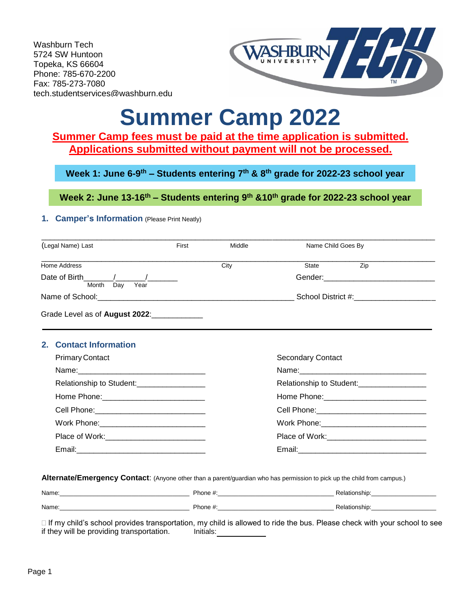Washburn Tech 5724 SW Huntoon Topeka, KS 66604 Phone: 785-670-2200 Fax: 785-273-7080 tech.studentservices@washburn.edu



# **Summer Camp 2022**

# **Summer Camp fees must be paid at the time application is submitted. Applications submitted without payment will not be processed.**

**Week 1: June 6-9 th – Students entering 7th & 8th grade for 2022-23 school year**

**Week 2: June 13-16th – Students entering 9th &10th grade for 2022-23 school year**

## **1. Camper's Information** (Please Print Neatly)

| (Legal Name) Last                            | First                                         | Middle | Name Child Goes By |                                              |
|----------------------------------------------|-----------------------------------------------|--------|--------------------|----------------------------------------------|
| Home Address                                 |                                               | City   | State              | Zip                                          |
|                                              |                                               |        |                    |                                              |
| Year<br>Month<br>Dav                         |                                               |        |                    |                                              |
| Grade Level as of August 2022:               |                                               |        |                    |                                              |
| 2. Contact Information                       |                                               |        |                    |                                              |
| <b>Primary Contact</b>                       |                                               |        | Secondary Contact  |                                              |
|                                              |                                               |        |                    |                                              |
| Relationship to Student:____________________ |                                               |        |                    | Relationship to Student:____________________ |
|                                              |                                               |        |                    |                                              |
|                                              | Cell Phone: _________________________________ |        |                    |                                              |
|                                              |                                               |        |                    |                                              |
|                                              |                                               |        |                    | Place of Work:____________________________   |
|                                              |                                               |        |                    |                                              |

**Alternate/Emergency Contact**: (Anyone other than a parent/guardian who has permission to pick up the child from campus.)

| Name: | Phone #.    | Relationship: |
|-------|-------------|---------------|
| Name: | Phone $#$ . | Relationship: |

 $\Box$  If my child's school provides transportation, my child is allowed to ride the bus. Please check with your school to see if they will be providing transportation. Initials: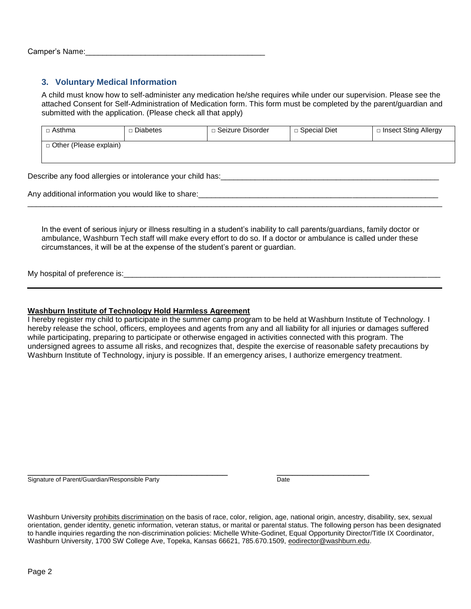## **3. Voluntary Medical Information**

A child must know how to self-administer any medication he/she requires while under our supervision. Please see the attached Consent for Self-Administration of Medication form. This form must be completed by the parent/guardian and submitted with the application. (Please check all that apply)

| $\Box$ Asthma                 | □ Diabetes | □ Seizure Disorder | □ Special Diet | □ Insect Sting Allergy |
|-------------------------------|------------|--------------------|----------------|------------------------|
| $\Box$ Other (Please explain) |            |                    |                |                        |

Describe any food allergies or intolerance your child has:

Any additional information you would like to share:\_\_\_\_\_\_\_\_\_\_\_\_\_\_\_\_\_\_\_\_\_\_\_\_\_\_\_\_\_\_\_\_\_\_\_\_\_\_\_\_\_\_\_\_\_\_\_\_\_\_\_\_\_\_\_\_

In the event of serious injury or illness resulting in a student's inability to call parents/guardians, family doctor or ambulance, Washburn Tech staff will make every effort to do so. If a doctor or ambulance is called under these circumstances, it will be at the expense of the student's parent or guardian.

 $\Box$ 

My hospital of preference is:

#### **Washburn Institute of Technology Hold Harmless Agreement**

I hereby register my child to participate in the summer camp program to be held at Washburn Institute of Technology. I hereby release the school, officers, employees and agents from any and all liability for all injuries or damages suffered while participating, preparing to participate or otherwise engaged in activities connected with this program. The undersigned agrees to assume all risks, and recognizes that, despite the exercise of reasonable safety precautions by Washburn Institute of Technology, injury is possible. If an emergency arises, I authorize emergency treatment.

\_\_\_\_\_\_\_\_\_\_\_\_\_\_\_\_\_\_\_\_\_\_\_\_\_\_\_\_\_\_\_\_\_\_\_\_\_\_\_ \_\_\_\_\_\_\_\_\_\_\_\_\_\_\_\_\_\_ Signature of Parent/Guardian/Responsible Party **Date Date** Date

Washburn University [prohibits discrimination](https://www.washburn.edu/statements-disclosures/equal-opportunity/how-to-file-a-complaint.html) on the basis of race, color, religion, age, national origin, ancestry, disability, sex, sexual orientation, gender identity, genetic information, veteran status, or marital or parental status. The following person has been designated to handle inquiries regarding the non-discrimination policies: Michelle White-Godinet, Equal Opportunity Director/Title IX Coordinator, Washburn University, 1700 SW College Ave, Topeka, Kansas 66621, 785.670.1509, [eodirector@washburn.edu.](mailto:eodirector@washburn.edu)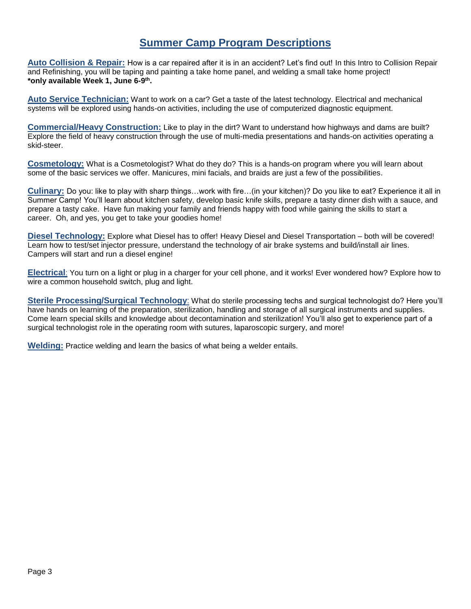# **Summer Camp Program Descriptions**

**Auto Collision & Repair:** How is a car repaired after it is in an accident? Let's find out! In this Intro to Collision Repair and Refinishing, you will be taping and painting a take home panel, and welding a small take home project! **\*only available Week 1, June 6-9 th .** 

**Auto Service Technician:** Want to work on a car? Get a taste of the latest technology. Electrical and mechanical systems will be explored using hands-on activities, including the use of computerized diagnostic equipment.

**Commercial/Heavy Construction:** Like to play in the dirt? Want to understand how highways and dams are built? Explore the field of heavy construction through the use of multi-media presentations and hands-on activities operating a skid-steer.

**Cosmetology:** What is a Cosmetologist? What do they do? This is a hands-on program where you will learn about some of the basic services we offer. Manicures, mini facials, and braids are just a few of the possibilities.

**Culinary:** Do you: like to play with sharp things…work with fire…(in your kitchen)? Do you like to eat? Experience it all in Summer Camp! You'll learn about kitchen safety, develop basic knife skills, prepare a tasty dinner dish with a sauce, and prepare a tasty cake. Have fun making your family and friends happy with food while gaining the skills to start a career. Oh, and yes, you get to take your goodies home!

**Diesel Technology:** Explore what Diesel has to offer! Heavy Diesel and Diesel Transportation – both will be covered! Learn how to test/set injector pressure, understand the technology of air brake systems and build/install air lines. Campers will start and run a diesel engine!

**Electrical**: You turn on a light or plug in a charger for your cell phone, and it works! Ever wondered how? Explore how to wire a common household switch, plug and light.

**Sterile Processing/Surgical Technology**: What do sterile processing techs and surgical technologist do? Here you'll have hands on learning of the preparation, sterilization, handling and storage of all surgical instruments and supplies. Come learn special skills and knowledge about decontamination and sterilization! You'll also get to experience part of a surgical technologist role in the operating room with sutures, laparoscopic surgery, and more!

**Welding:** Practice welding and learn the basics of what being a welder entails.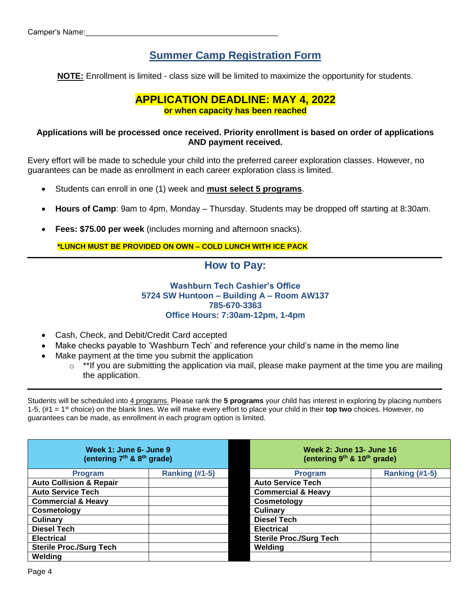# **Summer Camp Registration Form**

**NOTE:** Enrollment is limited - class size will be limited to maximize the opportunity for students.

## **APPLICATION DEADLINE: MAY 4, 2022 or when capacity has been reached**

## **Applications will be processed once received. Priority enrollment is based on order of applications AND payment received.**

Every effort will be made to schedule your child into the preferred career exploration classes. However, no guarantees can be made as enrollment in each career exploration class is limited.

- Students can enroll in one (1) week and **must select 5 programs**.
- **Hours of Camp**: 9am to 4pm, Monday Thursday. Students may be dropped off starting at 8:30am.
- **Fees: \$75.00 per week** (includes morning and afternoon snacks).

**\*LUNCH MUST BE PROVIDED ON OWN – COLD LUNCH WITH ICE PACK**

## **How to Pay:**

## **Washburn Tech Cashier's Office 5724 SW Huntoon – Building A – Room AW137 785-670-3363 Office Hours: 7:30am-12pm, 1-4pm**

- Cash, Check, and Debit/Credit Card accepted
- Make checks payable to 'Washburn Tech' and reference your child's name in the memo line
- Make payment at the time you submit the application
	- $\circ$  \*\*If you are submitting the application via mail, please make payment at the time you are mailing the application.

Students will be scheduled into 4 programs. Please rank the **5 programs** your child has interest in exploring by placing numbers 1-5, (#1 = 1st choice) on the blank lines. We will make every effort to place your child in their **top two** choices. However, no guarantees can be made, as enrollment in each program option is limited.

| Week 1: June 6- June 9<br>(entering 7 <sup>th</sup> & 8 <sup>th</sup> grade) |                | Week 2: June 13- June 16<br>(entering 9 <sup>th</sup> & 10 <sup>th</sup> grade) |                       |  |
|------------------------------------------------------------------------------|----------------|---------------------------------------------------------------------------------|-----------------------|--|
| <b>Program</b>                                                               | Ranking (#1-5) | <b>Program</b>                                                                  | <b>Ranking (#1-5)</b> |  |
| <b>Auto Collision &amp; Repair</b>                                           |                | <b>Auto Service Tech</b>                                                        |                       |  |
| <b>Auto Service Tech</b>                                                     |                | <b>Commercial &amp; Heavy</b>                                                   |                       |  |
| <b>Commercial &amp; Heavy</b>                                                |                | Cosmetology                                                                     |                       |  |
| Cosmetology                                                                  |                | <b>Culinary</b>                                                                 |                       |  |
| <b>Culinary</b>                                                              |                | <b>Diesel Tech</b>                                                              |                       |  |
| <b>Diesel Tech</b>                                                           |                | <b>Electrical</b>                                                               |                       |  |
| <b>Electrical</b>                                                            |                | <b>Sterile Proc./Surg Tech</b>                                                  |                       |  |
| <b>Sterile Proc./Surg Tech</b>                                               |                | Welding                                                                         |                       |  |
| Welding                                                                      |                |                                                                                 |                       |  |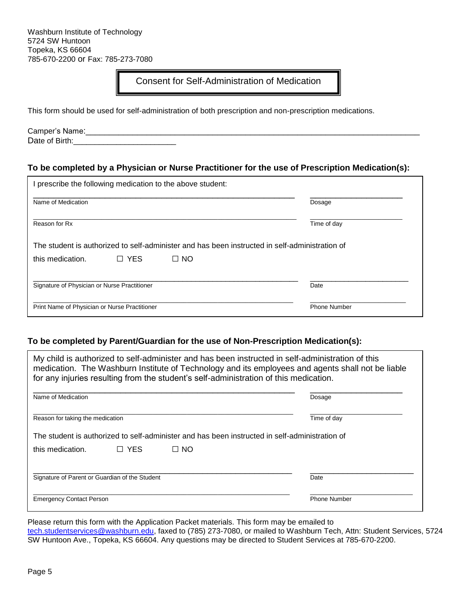## Consent for Self-Administration of Medication

This form should be used for self-administration of both prescription and non-prescription medications.

Camper's Name:\_\_\_\_\_\_\_\_\_\_\_\_\_\_\_\_\_\_\_\_\_\_\_\_\_\_\_\_\_\_\_\_\_\_\_\_\_\_\_\_\_\_\_\_\_\_\_\_\_\_\_\_\_\_\_\_\_\_\_\_\_\_\_\_\_\_\_\_\_\_\_ Date of Birth:

## **To be completed by a Physician or Nurse Practitioner for the use of Prescription Medication(s):**

| I prescribe the following medication to the above student: |              |                                                                                                |                     |             |  |
|------------------------------------------------------------|--------------|------------------------------------------------------------------------------------------------|---------------------|-------------|--|
| Name of Medication                                         |              |                                                                                                |                     | Dosage      |  |
| Reason for Rx                                              |              |                                                                                                |                     | Time of day |  |
|                                                            |              | The student is authorized to self-administer and has been instructed in self-administration of |                     |             |  |
| this medication.                                           | $\sqcap$ Yes | $\Box$ NO                                                                                      |                     |             |  |
| Signature of Physician or Nurse Practitioner               |              |                                                                                                | Date                |             |  |
| Print Name of Physician or Nurse Practitioner              |              |                                                                                                | <b>Phone Number</b> |             |  |

## **To be completed by Parent/Guardian for the use of Non-Prescription Medication(s):**

| My child is authorized to self-administer and has been instructed in self-administration of this<br>medication. The Washburn Institute of Technology and its employees and agents shall not be liable<br>for any injuries resulting from the student's self-administration of this medication. |            |           |                                                                                                |
|------------------------------------------------------------------------------------------------------------------------------------------------------------------------------------------------------------------------------------------------------------------------------------------------|------------|-----------|------------------------------------------------------------------------------------------------|
| Name of Medication                                                                                                                                                                                                                                                                             |            |           | Dosage                                                                                         |
| Reason for taking the medication                                                                                                                                                                                                                                                               |            |           | Time of day                                                                                    |
|                                                                                                                                                                                                                                                                                                |            |           | The student is authorized to self-administer and has been instructed in self-administration of |
| this medication.                                                                                                                                                                                                                                                                               | $\Box$ YES | $\Box$ No |                                                                                                |
| Signature of Parent or Guardian of the Student                                                                                                                                                                                                                                                 |            |           | Date                                                                                           |
| <b>Emergency Contact Person</b>                                                                                                                                                                                                                                                                |            |           | <b>Phone Number</b>                                                                            |

Please return this form with the Application Packet materials. This form may be emailed to [tech.studentservices@washburn.edu,](mailto:tech.studentservices@washburn.edu) faxed to (785) 273-7080, or mailed to Washburn Tech, Attn: Student Services, 5724 SW Huntoon Ave., Topeka, KS 66604. Any questions may be directed to Student Services at 785-670-2200.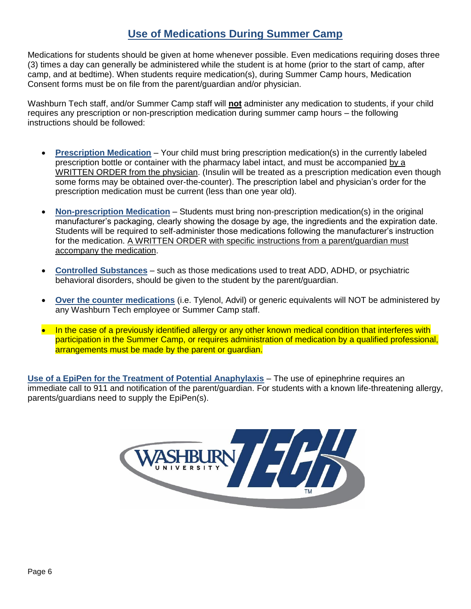# **Use of Medications During Summer Camp**

Medications for students should be given at home whenever possible. Even medications requiring doses three (3) times a day can generally be administered while the student is at home (prior to the start of camp, after camp, and at bedtime). When students require medication(s), during Summer Camp hours, Medication Consent forms must be on file from the parent/guardian and/or physician.

Washburn Tech staff, and/or Summer Camp staff will **not** administer any medication to students, if your child requires any prescription or non-prescription medication during summer camp hours – the following instructions should be followed:

- **Prescription Medication** Your child must bring prescription medication(s) in the currently labeled prescription bottle or container with the pharmacy label intact, and must be accompanied by a WRITTEN ORDER from the physician. (Insulin will be treated as a prescription medication even though some forms may be obtained over-the-counter). The prescription label and physician's order for the prescription medication must be current (less than one year old).
- **Non-prescription Medication** Students must bring non-prescription medication(s) in the original manufacturer's packaging, clearly showing the dosage by age, the ingredients and the expiration date. Students will be required to self-administer those medications following the manufacturer's instruction for the medication. A WRITTEN ORDER with specific instructions from a parent/guardian must accompany the medication.
- **Controlled Substances** such as those medications used to treat ADD, ADHD, or psychiatric behavioral disorders, should be given to the student by the parent/guardian.
- **Over the counter medications** (i.e. Tylenol, Advil) or generic equivalents will NOT be administered by any Washburn Tech employee or Summer Camp staff.
- In the case of a previously identified allergy or any other known medical condition that interferes with participation in the Summer Camp, or requires administration of medication by a qualified professional, arrangements must be made by the parent or guardian.

**Use of a EpiPen for the Treatment of Potential Anaphylaxis** – The use of epinephrine requires an immediate call to 911 and notification of the parent/guardian. For students with a known life-threatening allergy, parents/guardians need to supply the EpiPen(s).